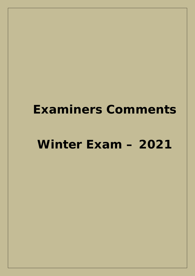# **Winter Exam – 2021**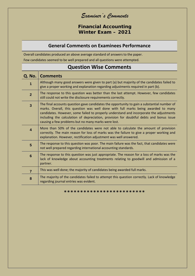**Financial Accounting Winter Exam – 2021**

### **General Comments on Examinees Performance**

Overall candidates produced an above average standard of answers to the paper. Few candidates seemed to be well prepared and all questions were attempted.

| Q. No.                  | <b>Comments</b>                                                                                                                                                                                                                                                                                                                                                                                                               |
|-------------------------|-------------------------------------------------------------------------------------------------------------------------------------------------------------------------------------------------------------------------------------------------------------------------------------------------------------------------------------------------------------------------------------------------------------------------------|
| 1                       | Although many good answers were given to part (a) but majority of the candidates failed to<br>give a proper working and explanation regarding adjustments required in part (b).                                                                                                                                                                                                                                               |
| $\overline{2}$          | The response to this question was better than the last attempt. However, few candidates<br>still could not write the disclosure requirements correctly.                                                                                                                                                                                                                                                                       |
| $\overline{\mathbf{3}}$ | The final accounts question gave candidates the opportunity to gain a substantial number of<br>marks. Overall, this question was well done with full marks being awarded to many<br>candidates. However, some failed to properly understand and incorporate the adjustments<br>including the calculation of depreciation, provision for doubtful debts and bonus issue<br>causing a few problems but no many marks were lost. |
| $\overline{\mathbf{4}}$ | More than 50% of the candidates were not able to calculate the amount of provision<br>correctly. The main reason for loss of marks was the failure to give a proper working and<br>explanation. However, rectification adjustment was well answered.                                                                                                                                                                          |
| 5                       | The response to this question was poor. The main failure was the fact, that candidates were<br>not well prepared regarding international accounting standards.                                                                                                                                                                                                                                                                |
| $6\phantom{1}6$         | The response to this question was just appropriate. The reason for a loss of marks was the<br>lack of knowledge about accounting treatments relating to goodwill and admission of a<br>partner.                                                                                                                                                                                                                               |
| $\overline{7}$          | This was well done; the majority of candidates being awarded full marks.                                                                                                                                                                                                                                                                                                                                                      |
| 8                       | The majority of the candidates failed to attempt this question correctly. Lack of knowledge<br>regarding journal entries was evident.                                                                                                                                                                                                                                                                                         |

# **Question Wise Comments**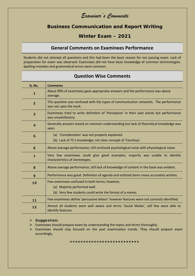**Business Communication and Report Writing**

## **Winter Exam – 2021**

#### **General Comments on Examinees Performance**

Students did not attempt all questions and this had been the basic reason for not passing exam. Lack of preparation for exam was observed. Examinees did not have basic knowledge of common terminologies. Spelling mistakes and grammatical errors were common.

| <b>Q. No.</b>  | <b>Comments</b>                                                                                                                           |
|----------------|-------------------------------------------------------------------------------------------------------------------------------------------|
| 1              | About 90% of examinees gave appropriate answers and the performance was above<br>average.                                                 |
| $\overline{2}$ | This question was confused with the types of communication networks. The performance<br>was not upto the mark.                            |
| $\overline{3}$ | Examinees tried to write definition of 'Perception' in their own words but performance<br>was unsatisfactory.                             |
| 4              | Generally answers based on common understanding but lack of theoretical knowledge was<br>seen.                                            |
| 5              | (a) 'Consideration' was not properly explained.<br>(b) Lack of 7C's knowledge; not clear concept of 'Courtesy'.                           |
| 6              | Above average performance; still confused psychological noise with physiological noise.                                                   |
| $\overline{7}$ | Very few examinees could give good examples; majority was unable to identify<br>characteristics of stereotypes.                           |
| 8              | Above average performance; still lack of knowledge of content in the book was evident.                                                    |
| 9              | Performance was good. Definition of agenda and enlisted items move accurately written.                                                    |
| 10             | Few examinees confused in both terms; however,<br>(a) Majority performed well.<br>(b) Very few students could write the format of a memo. |
| 11             | Few examinees define 'persuasive letters' however features were not correctly identified.                                                 |
| 12             | Almost all students were well aware and terms 'Social Media', still few were able to<br>identify features.                                |

#### **Question Wise Comments**

#### **Suggestion:**

- $\triangleright$  Examinees should prepare exam by understanding the topics and terms thoroughly.
- $\triangleright$  Examinees should stay focused on the past examination trends. They should prepare exam accordingly.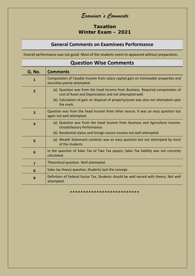## **Taxation Winter Exam – 2021**

# **General Comments on Examinees Performance**

Overall performance was not good. Most of the students seem to appeared without preparation.

| <b>Question Wise Comments</b> |                                                                                                                                        |  |
|-------------------------------|----------------------------------------------------------------------------------------------------------------------------------------|--|
| <b>Q. No.</b>                 | <b>Comments</b>                                                                                                                        |  |
| 1                             | Computation of Taxable Income from salary capital gain on Immovable properties and<br>securities poorly attempted.                     |  |
| $\overline{2}$                | (a) Question was from the head Income from Business. Required computation of<br>cost of Asset and Depreciation and not attempted well. |  |
|                               | (b) Calculation of gain on disposal of property/asset was also not attempted upto<br>the mark.                                         |  |
| $\overline{3}$                | Question was from the head Income from other source. It was an easy question but<br>again not well attempted.                          |  |
| $\overline{\mathbf{4}}$       | (a) Question was from the head Income from Business and Agriculture Income.<br>Unsatisfactory Performance.                             |  |
|                               | (b) Residential status and foreign source income not well attempted.                                                                   |  |
| 5                             | (a) Wealth Statement contents was an easy question but not attempted by most<br>of the students.                                       |  |
| $6\phantom{1}6$               | In the question of Sales Tax of Two Tax payers; Sales Tax liability was not correctly<br>calculated.                                   |  |
| $\overline{7}$                | Theoretical question. Well attempted.                                                                                                  |  |
| 8                             | Sales tax theory question, Students lack the concept.                                                                                  |  |
| 9                             | Definition of Federal Excise Tax, Students should be well versed with theory. Not well<br>attempted.                                   |  |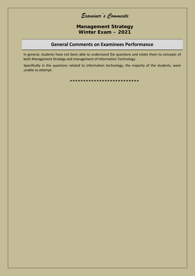Examiner's Comments

Management Strategy Winter Exam - 2021

#### **General Comments on Examinees Performance**

In general, students have not been able to understand the questions and relate them to concepts of both Management Strategy and management of Information Technology.

Specifically in the questions related to information technology, the majority of the students, were unable to attempt.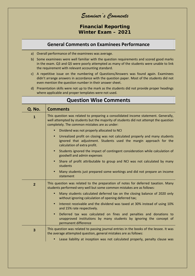*Examiner's Comments*

**Financial Reporting Winter Exam – 2021**

#### **General Comments on Examinees Performance**

- a) Overall performance of the examinees was average.
- b) Some examinees were well familiar with the question requirements and scored good marks in the exam. Q3 and Q5 were poorly attempted as many of the students were unable to link the requirement with relevant accounting standard.
- c) A repetitive issue on the numbering of Questions/Answers was found again. Examinees didn't arrange answers in accordance with the question paper. Most of the students did not even mention the question number in their answer sheet.
- d) Presentation skills were not up to the mark as the students did not provide proper headings where applicable and proper templates were not used.

| <b>Q. No.</b>  | <b>Comments</b>                                                                                                                                                                                                             |
|----------------|-----------------------------------------------------------------------------------------------------------------------------------------------------------------------------------------------------------------------------|
|                | This question was related to preparing a consolidated income statement. Generally,<br>well attempted by students but the majority of students did not attempt the question<br>completely. The common mistakes are as under: |
|                | Dividend was not properly allocated to NCI<br>$\bullet$                                                                                                                                                                     |
|                | Unrealized profit on closing was not calculated properly and many students<br>$\bullet$<br>ignored that adjustment. Students used the margin approach for the<br>calculation of extra profit.                               |
|                | Students ignored the impact of contingent consideration while calculation of<br>$\bullet$<br>goodwill and admin expenses                                                                                                    |
|                | Share of profit attributable to group and NCI was not calculated by many<br>$\bullet$<br>students                                                                                                                           |
|                | Many students just prepared some workings and did not prepare an income<br>$\bullet$<br>statement                                                                                                                           |
| $\overline{2}$ | This question was related to the preparation of notes for deferred taxation. Many<br>students performed very well but some common mistakes are as follows:                                                                  |
|                | Many students calculated deferred tax on the closing balance of 2020 only<br>$\bullet$<br>without ignoring calculation of opening deferred tax;                                                                             |
|                | Interest receivable and the dividend was taxed at 30% instead of using 10%<br>$\bullet$<br>and 15% rate respectively.                                                                                                       |
|                | Deferred tax was calculated on fines and penalties and donations to<br>$\bullet$<br>unapproved institutions by many students by ignoring the concept of<br>permanent difference                                             |
| $\mathbf{3}$   | This question was related to passing journal entries in the books of the lessee. It was<br>the average attempted question, general mistakes are as follows:                                                                 |
|                | Lease liability at inception was not calculated properly, penalty clause was<br>$\bullet$                                                                                                                                   |

# **Question Wise Comments**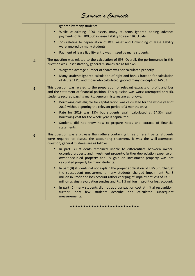|                         | ignored by many students.                                                                                                                                                                                                                                                                                                                     |
|-------------------------|-----------------------------------------------------------------------------------------------------------------------------------------------------------------------------------------------------------------------------------------------------------------------------------------------------------------------------------------------|
|                         | While calculating ROU assets many students ignored adding advance<br>$\bullet$<br>payments of Rs. 100,000 in lease liability to reach ROU vale                                                                                                                                                                                                |
|                         | JV's relating to depreciation of ROU asset and Unwinding of lease liability<br>were ignored by many students                                                                                                                                                                                                                                  |
|                         | Payment of lease liability entry was missed by many students.                                                                                                                                                                                                                                                                                 |
| $\overline{\mathbf{4}}$ | The question was related to the calculation of EPS. Overall, the performance in this<br>question was unsatisfactory, general mistakes are as follows:                                                                                                                                                                                         |
|                         | Weighted average number of shares was not calculated properly<br>$\bullet$                                                                                                                                                                                                                                                                    |
|                         | Many students ignored calculation of right and bonus fraction for calculation<br>$\bullet$<br>of diluted EPS, and those who calculated ignored many concepts of IAS 33                                                                                                                                                                        |
| 5                       | This question was related to the preparation of relevant extracts of profit and loss<br>and the statement of financial position. This question was worst attempted only 4%<br>students secured passing marks, general mistakes are as follows:                                                                                                |
|                         | Borrowing cost eligible for capitalization was calculated for the whole year of<br>$\bullet$<br>2019 without ignoring the relevant period of 3 months only;                                                                                                                                                                                   |
|                         | Rate for 2019 was 15% but students again calculated at 14.5%, again<br>$\bullet$<br>borrowing cost for the whole year is capitalized.                                                                                                                                                                                                         |
|                         | Students did not know how to prepare notes and extracts of financial<br>statements.                                                                                                                                                                                                                                                           |
| $6\phantom{1}6$         | This question was a bit easy than others containing three different parts. Students<br>were required to discuss the accounting treatment, it was the well-attempted<br>question, general mistakes are as follows:                                                                                                                             |
|                         | In part (A) students remained unable to differentiate between owner-<br>$\bullet$<br>occupied property and investment property, further depreciation expense on<br>owner-occupied property and FV gain on investment property was not<br>calculated properly by many students.                                                                |
|                         | In part (B) students did not explain the proper application of IFRS 5 further, at<br>$\bullet$<br>the subsequent measurement many students charged impairment Rs. 3<br>million in Profit and loss account rather charging of impairment loss of Rs. 1.5<br>million against revaluation surplus and Rs. 1.5 million in profit or loss account. |
|                         | In part (C) many students did not add transaction cost at initial recognition,<br>$\bullet$<br>further, only few students describe and<br>calculated<br>subsequent<br>measurements.                                                                                                                                                           |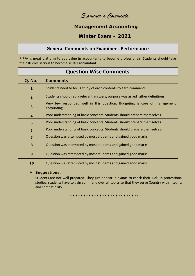**Management Accounting**

**Winter Exam – 2021**

### **General Comments on Examinees Performance**

PIPFA is great platform to add value in accountants to become professionals. Students should take their studies serious to become skillful accountant.

| QUESTION VVISE COMMICITIS                                                                |  |  |  |
|------------------------------------------------------------------------------------------|--|--|--|
| <b>Comments</b>                                                                          |  |  |  |
| Students need to focus study of each contents to earn command.                           |  |  |  |
| Students should reply relevant answers, purpose was asked rather definitions.            |  |  |  |
| Very few responded well in this question. Budgeting is core of management<br>accounting. |  |  |  |
| Poor understanding of basic concepts. Students should prepare themselves.                |  |  |  |
| Poor understanding of basic concepts. Students should prepare themselves.                |  |  |  |
| Poor understanding of basic concepts. Students should prepare themselves.                |  |  |  |
| Question was attempted by most students and gained good marks.                           |  |  |  |
| Question was attempted by most students and gained good marks.                           |  |  |  |
| Question was attempted by most students and gained good marks.                           |  |  |  |
| Question was attempted by most students and gained good marks.                           |  |  |  |
|                                                                                          |  |  |  |

# **Question Wise Comments**

#### **Suggestions:**

Students are not well prepared. They just appear in exams to check their luck. In professional studies, students have to gain command over all topics so that they serve Country with integrity and compatibility.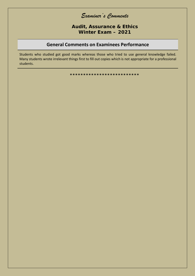Audit, Assurance & Ethics Winter Exam  $-2021$ 

#### **General Comments on Examinees Performance**

Students who studied got good marks whereas those who tried to use general knowledge failed. Many students wrote irrelevant things first to fill out copies which is not appropriate for a professional students.